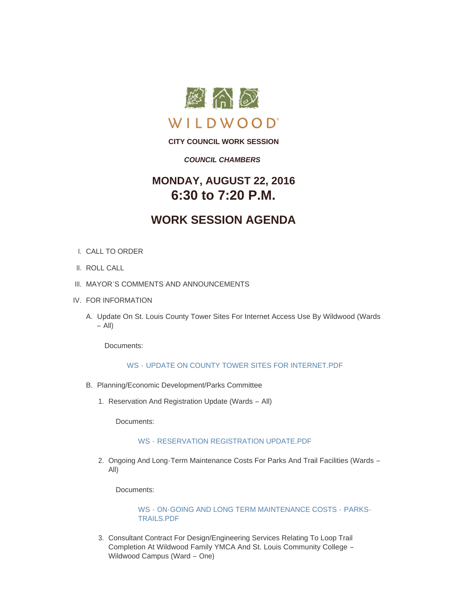

**CITY COUNCIL WORK SESSION**

### *COUNCIL CHAMBERS*

## **MONDAY, AUGUST 22, 2016 6:30 to 7:20 P.M.**

# **WORK SESSION AGENDA**

- CALL TO ORDER I.
- II. ROLL CALL
- III. MAYOR'S COMMENTS AND ANNOUNCEMENTS
- IV. FOR INFORMATION
	- A. Update On St. Louis County Tower Sites For Internet Access Use By Wildwood (Wards – All)

Documents:

### WS - [UPDATE ON COUNTY TOWER SITES FOR INTERNET.PDF](http://mo-wildwood.civicplus.com/AgendaCenter/ViewFile/Item/7965?fileID=11724)

- B. Planning/Economic Development/Parks Committee
	- 1. Reservation And Registration Update (Wards All)

Documents:

#### WS - [RESERVATION REGISTRATION UPDATE.PDF](http://mo-wildwood.civicplus.com/AgendaCenter/ViewFile/Item/7967?fileID=11725)

2. Ongoing And Long-Term Maintenance Costs For Parks And Trail Facilities (Wards -All)

Documents:

WS - [ON-GOING AND LONG TERM MAINTENANCE COSTS -](http://mo-wildwood.civicplus.com/AgendaCenter/ViewFile/Item/7968?fileID=11726) PARKS-TRAILS.PDF

3. Consultant Contract For Design/Engineering Services Relating To Loop Trail Completion At Wildwood Family YMCA And St. Louis Community College – Wildwood Campus (Ward – One)